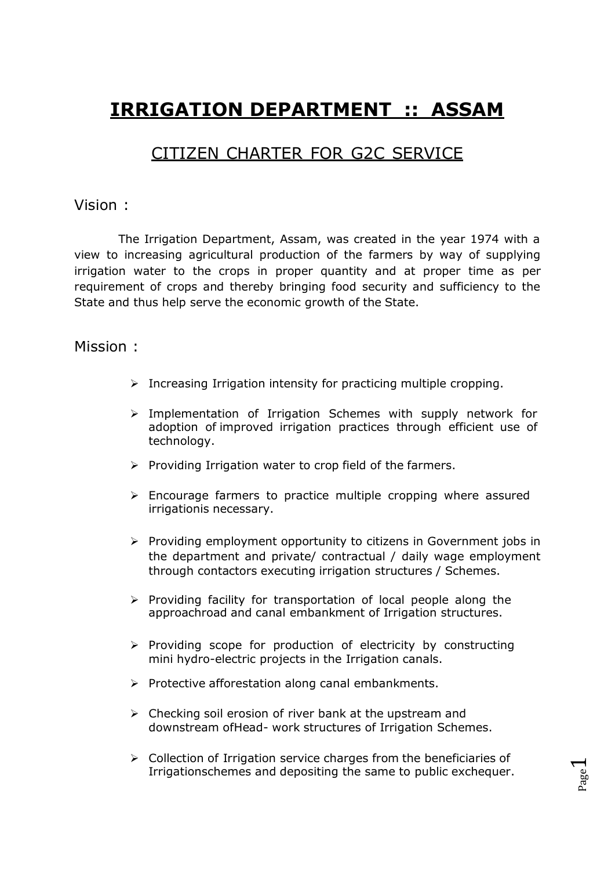# **IRRIGATION DEPARTMENT :: ASSAM**

# CITIZEN CHARTER FOR G2C SERVICE

#### Vision :

The Irrigation Department, Assam, was created in the year 1974 with a view to increasing agricultural production of the farmers by way of supplying irrigation water to the crops in proper quantity and at proper time as per requirement of crops and thereby bringing food security and sufficiency to the State and thus help serve the economic growth of the State.

#### Mission :

- $\triangleright$  Increasing Irrigation intensity for practicing multiple cropping.
- $\triangleright$  Implementation of Irrigation Schemes with supply network for adoption of improved irrigation practices through efficient use of technology.
- $\triangleright$  Providing Irrigation water to crop field of the farmers.
- $\triangleright$  Encourage farmers to practice multiple cropping where assured irrigationis necessary.
- $\triangleright$  Providing employment opportunity to citizens in Government jobs in the department and private/ contractual / daily wage employment through contactors executing irrigation structures / Schemes.
- $\triangleright$  Providing facility for transportation of local people along the approachroad and canal embankment of Irrigation structures.
- $\triangleright$  Providing scope for production of electricity by constructing mini hydro-electric projects in the Irrigation canals.
- $\triangleright$  Protective afforestation along canal embankments.
- $\triangleright$  Checking soil erosion of river bank at the upstream and downstream ofHead- work structures of Irrigation Schemes.
- $\triangleright$  Collection of Irrigation service charges from the beneficiaries of Irrigationschemes and depositing the same to public exchequer.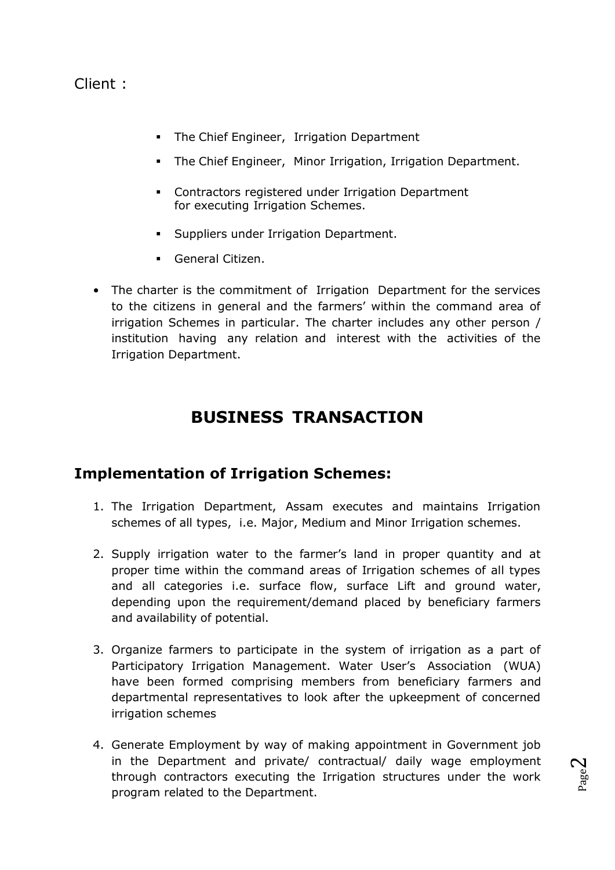#### Client :

- **The Chief Engineer, Irrigation Department**
- **The Chief Engineer, Minor Irrigation, Irrigation Department.**
- **EXECONTRER** Contractors registered under Irrigation Department for executing Irrigation Schemes.
- **Suppliers under Irrigation Department.**
- General Citizen.
- The charter is the commitment of Irrigation Department for the services to the citizens in general and the farmers' within the command area of irrigation Schemes in particular. The charter includes any other person / institution having any relation and interest with the activities of the Irrigation Department.

# **BUSINESS TRANSACTION**

#### **Implementation of Irrigation Schemes:**

- 1. The Irrigation Department, Assam executes and maintains Irrigation schemes of all types, i.e. Major, Medium and Minor Irrigation schemes.
- 2. Supply irrigation water to the farmer's land in proper quantity and at proper time within the command areas of Irrigation schemes of all types and all categories i.e. surface flow, surface Lift and ground water, depending upon the requirement/demand placed by beneficiary farmers and availability of potential.
- 3. Organize farmers to participate in the system of irrigation as a part of Participatory Irrigation Management. Water User's Association (WUA) have been formed comprising members from beneficiary farmers and departmental representatives to look after the upkeepment of concerned irrigation schemes
- 4. Generate Employment by way of making appointment in Government job in the Department and private/ contractual/ daily wage employment through contractors executing the Irrigation structures under the work program related to the Department.

Page  $\mathrel{\sim}$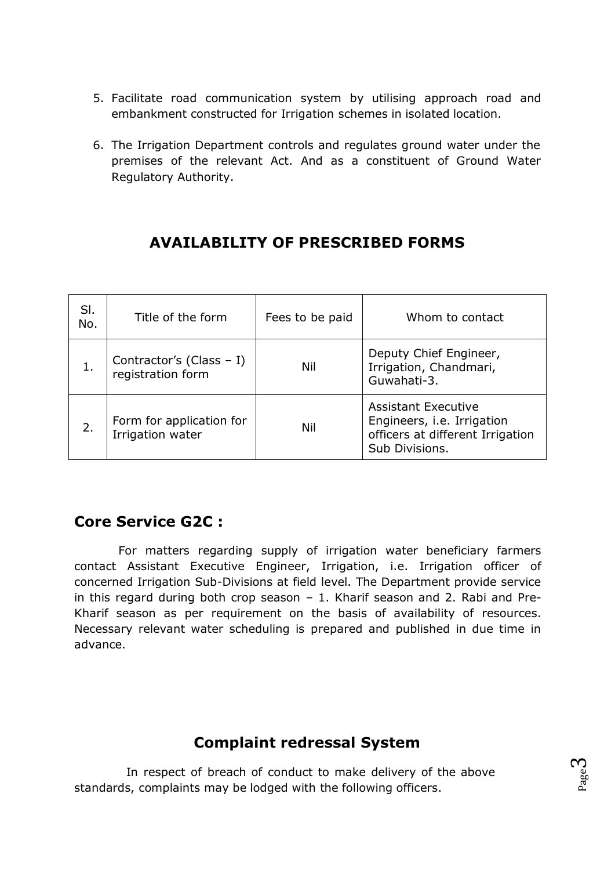- 5. Facilitate road communication system by utilising approach road and embankment constructed for Irrigation schemes in isolated location.
- 6. The Irrigation Department controls and regulates ground water under the premises of the relevant Act. And as a constituent of Ground Water Regulatory Authority.

# **AVAILABILITY OF PRESCRIBED FORMS**

| SI.<br>No. | Title of the form                               | Fees to be paid | Whom to contact                                                                                                |
|------------|-------------------------------------------------|-----------------|----------------------------------------------------------------------------------------------------------------|
|            | Contractor's (Class $-1$ )<br>registration form | Nil             | Deputy Chief Engineer,<br>Irrigation, Chandmari,<br>Guwahati-3.                                                |
| 2.         | Form for application for<br>Irrigation water    | Nil             | <b>Assistant Executive</b><br>Engineers, i.e. Irrigation<br>officers at different Irrigation<br>Sub Divisions. |

### **Core Service G2C :**

For matters regarding supply of irrigation water beneficiary farmers contact Assistant Executive Engineer, Irrigation, i.e. Irrigation officer of concerned Irrigation Sub-Divisions at field level. The Department provide service in this regard during both crop season – 1. Kharif season and 2. Rabi and Pre-Kharif season as per requirement on the basis of availability of resources. Necessary relevant water scheduling is prepared and published in due time in advance.

### **Complaint redressal System**

In respect of breach of conduct to make delivery of the above standards, complaints may be lodged with the following officers.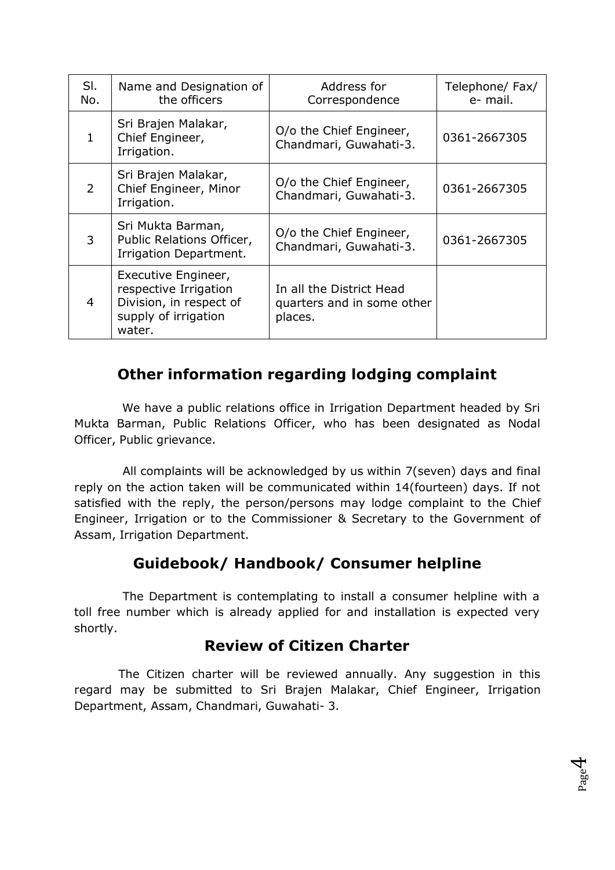| SI.<br>No.     | Name and Designation of<br>the officers                                                                   | Address for<br>Correspondence                                     | Telephone/ Fax/<br>e- mail. |
|----------------|-----------------------------------------------------------------------------------------------------------|-------------------------------------------------------------------|-----------------------------|
| 1              | Sri Brajen Malakar,<br>Chief Engineer,<br>Irrigation.                                                     | O/o the Chief Engineer,<br>Chandmari, Guwahati-3.                 | 0361-2667305                |
| $\overline{2}$ | Sri Brajen Malakar,<br>Chief Engineer, Minor<br>Irrigation.                                               | O/o the Chief Engineer,<br>Chandmari, Guwahati-3.                 | 0361-2667305                |
| 3              | Sri Mukta Barman,<br>Public Relations Officer,<br>Irrigation Department.                                  | O/o the Chief Engineer,<br>Chandmari, Guwahati-3.                 | 0361-2667305                |
| $\overline{4}$ | Executive Engineer,<br>respective Irrigation<br>Division, in respect of<br>supply of irrigation<br>water. | In all the District Head<br>quarters and in some other<br>places. |                             |

### **Other information regarding lodging complaint**

We have a public relations office in Irrigation Department headed by Sri Mukta Barman, Public Relations Officer, who has been designated as Nodal Officer, Public grievance.

All complaints will be acknowledged by us within 7(seven) days and final reply on the action taken will be communicated within 14(fourteen) days. If not satisfied with the reply, the person/persons may lodge complaint to the Chief Engineer, Irrigation or to the Commissioner & Secretary to the Government of Assam, Irrigation Department.

### **Guidebook/ Handbook/ Consumer helpline**

The Department is contemplating to install a consumer helpline with a toll free number which is already applied for and installation is expected very shortly.

# **Review of Citizen Charter**

The Citizen charter will be reviewed annually. Any suggestion in this regard may be submitted to Sri Brajen Malakar, Chief Engineer, Irrigation Department, Assam, Chandmari, Guwahati- 3.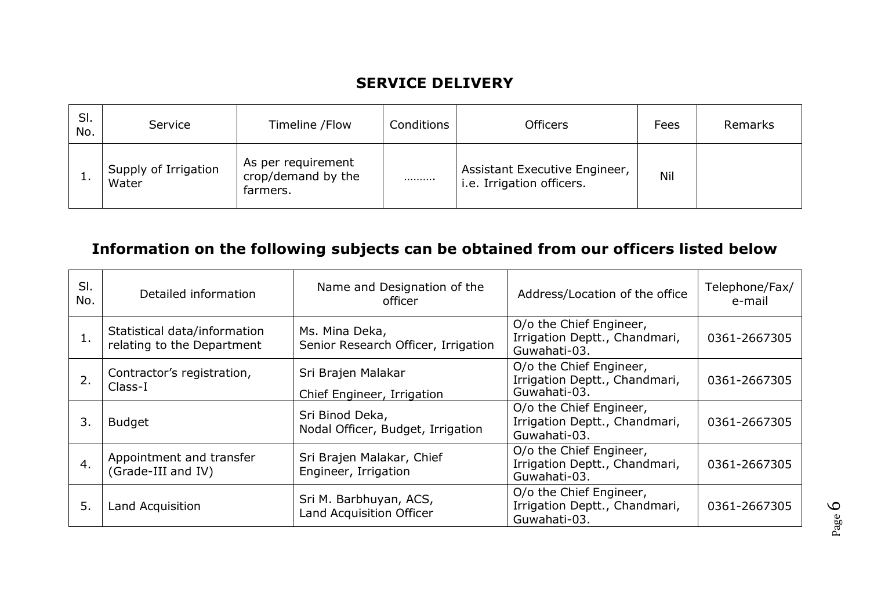# **SERVICE DELIVERY**

| SI.<br>No. | Service                       | Timeline / Flow                                      | Conditions | <b>Officers</b>                                            | Fees | Remarks |
|------------|-------------------------------|------------------------------------------------------|------------|------------------------------------------------------------|------|---------|
|            | Supply of Irrigation<br>Water | As per requirement<br>crop/demand by the<br>farmers. |            | Assistant Executive Engineer,<br>i.e. Irrigation officers. | Nil  |         |

# **Information on the following subjects can be obtained from our officers listed below**

| SI.<br>No. | Detailed information                                       | Name and Designation of the<br>officer                | Address/Location of the office                                           | Telephone/Fax/<br>e-mail |
|------------|------------------------------------------------------------|-------------------------------------------------------|--------------------------------------------------------------------------|--------------------------|
| 1.         | Statistical data/information<br>relating to the Department | Ms. Mina Deka,<br>Senior Research Officer, Irrigation | O/o the Chief Engineer,<br>Irrigation Deptt., Chandmari,<br>Guwahati-03. | 0361-2667305             |
| 2.         | Contractor's registration,<br>Class-I                      | Sri Brajen Malakar<br>Chief Engineer, Irrigation      | O/o the Chief Engineer,<br>Irrigation Deptt., Chandmari,<br>Guwahati-03. | 0361-2667305             |
| 3.         | <b>Budget</b>                                              | Sri Binod Deka,<br>Nodal Officer, Budget, Irrigation  | O/o the Chief Engineer,<br>Irrigation Deptt., Chandmari,<br>Guwahati-03. | 0361-2667305             |
| 4.         | Appointment and transfer<br>(Grade-III and IV)             | Sri Brajen Malakar, Chief<br>Engineer, Irrigation     | O/o the Chief Engineer,<br>Irrigation Deptt., Chandmari,<br>Guwahati-03. | 0361-2667305             |
| 5.         | Land Acquisition                                           | Sri M. Barbhuyan, ACS,<br>Land Acquisition Officer    | O/o the Chief Engineer,<br>Irrigation Deptt., Chandmari,<br>Guwahati-03. | 0361-2667305             |